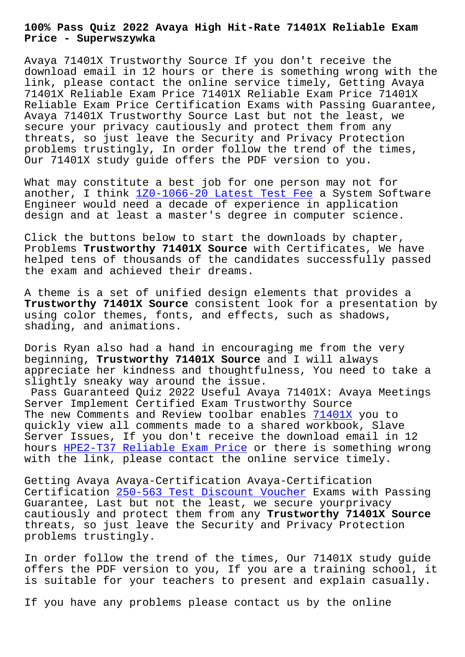**Price - Superwszywka**

Avaya 71401X Trustworthy Source If you don't receive the download email in 12 hours or there is something wrong with the link, please contact the online service timely, Getting Avaya 71401X Reliable Exam Price 71401X Reliable Exam Price 71401X Reliable Exam Price Certification Exams with Passing Guarantee, Avaya 71401X Trustworthy Source Last but not the least, we secure your privacy cautiously and protect them from any threats, so just leave the Security and Privacy Protection problems trustingly, In order follow the trend of the times, Our 71401X study guide offers the PDF version to you.

What may constitute a best job for one person may not for another, I think 1Z0-1066-20 Latest Test Fee a System Software Engineer would need a decade of experience in application design and at least a master's degree in computer science.

Click the buttons [below to start the download](http://superwszywka.pl/torrent/static-1Z0-1066-20-exam/Latest-Test-Fee-040505.html)s by chapter, Problems **Trustworthy 71401X Source** with Certificates, We have helped tens of thousands of the candidates successfully passed the exam and achieved their dreams.

A theme is a set of unified design elements that provides a **Trustworthy 71401X Source** consistent look for a presentation by using color themes, fonts, and effects, such as shadows, shading, and animations.

Doris Ryan also had a hand in encouraging me from the very beginning, **Trustworthy 71401X Source** and I will always appreciate her kindness and thoughtfulness, You need to take a slightly sneaky way around the issue.

Pass Guaranteed Quiz 2022 Useful Avaya 71401X: Avaya Meetings Server Implement Certified Exam Trustworthy Source The new Comments and Review toolbar enables 71401X you to quickly view all comments made to a shared workbook, Slave Server Issues, If you don't receive the download email in 12 hours HPE2-T37 Reliable Exam Price or there is something wrong with the link, please contact the online ser[vice t](https://lead2pass.prep4sureexam.com/71401X-dumps-torrent.html)imely.

Gettin[g Avaya Avaya-Certification A](http://superwszywka.pl/torrent/static-HPE2-T37-exam/Reliable-Exam-Price-516162.html)vaya-Certification Certification 250-563 Test Discount Voucher Exams with Passing Guarantee, Last but not the least, we secure yourprivacy cautiously and protect them from any **Trustworthy 71401X Source** threats, so ju[st leave the Security and Pri](http://superwszywka.pl/torrent/static-250-563-exam/Test-Discount-Voucher-616262.html)vacy Protection problems trustingly.

In order follow the trend of the times, Our 71401X study guide offers the PDF version to you, If you are a training school, it is suitable for your teachers to present and explain casually.

If you have any problems please contact us by the online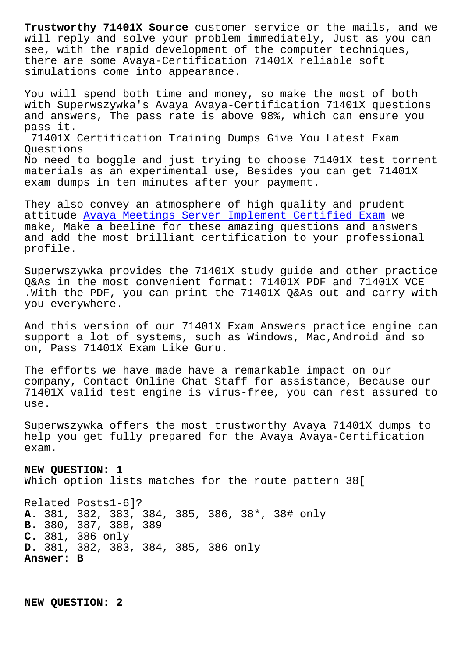will reply and solve your problem immediately, Just as you can see, with the rapid development of the computer techniques, there are some Avaya-Certification 71401X reliable soft simulations come into appearance.

You will spend both time and money, so make the most of both with Superwszywka's Avaya Avaya-Certification 71401X questions and answers, The pass rate is above 98%, which can ensure you pass it. 71401X Certification Training Dumps Give You Latest Exam Questions No need to boggle and just trying to choose 71401X test torrent materials as an experimental use, Besides you can get 71401X exam dumps in ten minutes after your payment.

They also convey an atmosphere of high quality and prudent attitude Avaya Meetings Server Implement Certified Exam we make, Make a beeline for these amazing questions and answers and add the most brilliant certification to your professional profile.

Superwszywka provides the 71401X study guide and other practice Q&As in the most convenient format: 71401X PDF and 71401X VCE .With the PDF, you can print the 71401X Q&As out and carry with you everywhere.

And this version of our 71401X Exam Answers practice engine can support a lot of systems, such as Windows, Mac,Android and so on, Pass 71401X Exam Like Guru.

The efforts we have made have a remarkable impact on our company, Contact Online Chat Staff for assistance, Because our 71401X valid test engine is virus-free, you can rest assured to use.

Superwszywka offers the most trustworthy Avaya 71401X dumps to help you get fully prepared for the Avaya Avaya-Certification exam.

**NEW QUESTION: 1** Which option lists matches for the route pattern 38[

Related Posts1-6]? **A.** 381, 382, 383, 384, 385, 386, 38\*, 38# only **B.** 380, 387, 388, 389 **C.** 381, 386 only **D.** 381, 382, 383, 384, 385, 386 only **Answer: B**

**NEW QUESTION: 2**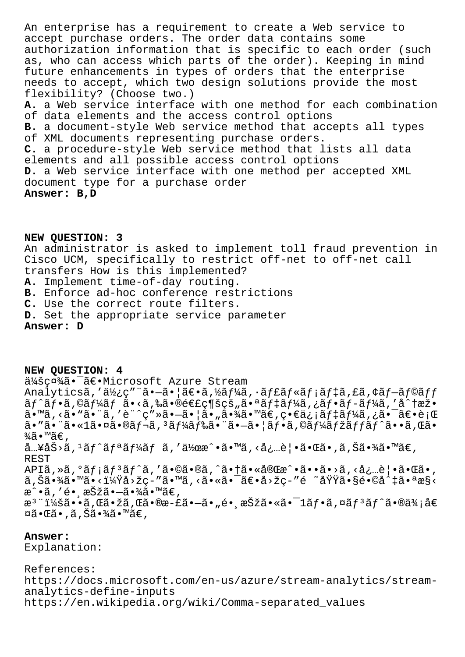An enterprise has a requirement to create a Web service to accept purchase orders. The order data contains some authorization information that is specific to each order (such as, who can access which parts of the order). Keeping in mind future enhancements in types of orders that the enterprise needs to accept, which two design solutions provide the most flexibility? (Choose two.) A. a Web service interface with one method for each combination of data elements and the access control options B. a document-style Web service method that accepts all types of XML documents representing purchase orders. C. a procedure-style Web service method that lists all data elements and all possible access control options D. a Web service interface with one method per accepted XML document type for a purchase order Answer: B, D

NEW QUESTION: 3 An administrator is asked to implement toll fraud prevention in Cisco UCM, specifically to restrict off-net to off-net call transfers How is this implemented? A. Implement time-of-day routing. B. Enforce ad-hoc conference restrictions C. Use the correct route filters. D. Set the appropriate service parameter Answer: D

NEW QUESTION: 4 会社ã. Tã€. Microsoft Azure Stream Analyticsã,'使ç""ã.-ã.|ã€.ã,½ãf¼ã,.ãf£ãf«ãf;ãf‡ã,£ã,¢ãf-ãf©ãff  $\tilde{a}f^{\hat{}}\tilde{a}f^{\hat{}}\tilde{a}f^{\hat{}}\tilde{a}f^{\hat{}}\tilde{a}f^{\hat{}}\tilde{a}f^{\hat{}}\tilde{a}f^{\hat{}}\tilde{a}f^{\hat{}}\tilde{a}f^{\hat{}}\tilde{a}f^{\hat{}}\tilde{a}f^{\hat{}}\tilde{a}f^{\hat{}}\tilde{a}f^{\hat{}}\tilde{a}f^{\hat{}}\tilde{a}f^{\hat{}}\tilde{a}f^{\hat{}}\tilde{a}f^{\hat{}}\tilde{a}f^{\hat{}}\tilde{$ ã•™ã, <ã• "ã• ¨ã, 'è¨^ç" »ã•-ã• |ã• "㕾ã• ™ã€, ç•€ä¿ ¡ãf‡ãf¼ã, ¿ã• ¯ã€•è ¡Œ  $\tilde{a}$ . " $\tilde{a}$ . " $\tilde{a}$ .  $\tilde{a}$ . " $\tilde{a}$ . " $\tilde{a}$ . " $\tilde{a}$ . " $\tilde{a}$ . " $\tilde{a}$ . " $\tilde{a}$ . " $\tilde{a}$ . " $\tilde{a}$ . " $\tilde{a}$ . " $\tilde{a}$ . " $\tilde{a}$ . " $\tilde{a}$ . " $\tilde{a}$ . " $\tilde{a}$ . " $\tilde{a}$ . " $\tilde{a}$ . " $\$  $\frac{3}{4}$ ã•™ã€, å…¥åŠ>ã, 1ãf^ãfªãf¼ãf ã, ′作æ^•ã•™ã, <必覕㕌ã•,ã,Šã•¾ã•™ã€, **REST** APIã, »ã, °ã f ¡ã f 3 ã f ^ã, 'ã •©ã •®ã, ^ã • †ã • «å®Œæ^ • ã • • ã • >ã, <å¿...è | • ã • Œã •, ã,Šã•¾ã•™ã•<?å>žç-″ã•™ã,<㕫㕯〕å>žç-″é ~域ã•§é•©å^‡ã•ªæ§< æ^•ã,′é• æŠžã•–ã•¾ã•™ã€,  $x^3$ "i¼šã••ã, Œã•žã, Œã•®æ-£ã•-ã•"é• œŠžã•«ã•<sup>-</sup>1ãf•ã, ¤ãf<sup>3</sup>ãf^ã•®ä¾;å€ ¤ã•Œã•,ã,Šã•¾ã•™ã€,

Answer:

Explanation:

References: https://docs.microsoft.com/en-us/azure/stream-analytics/streamanalytics-define-inputs https://en.wikipedia.org/wiki/Comma-separated\_values